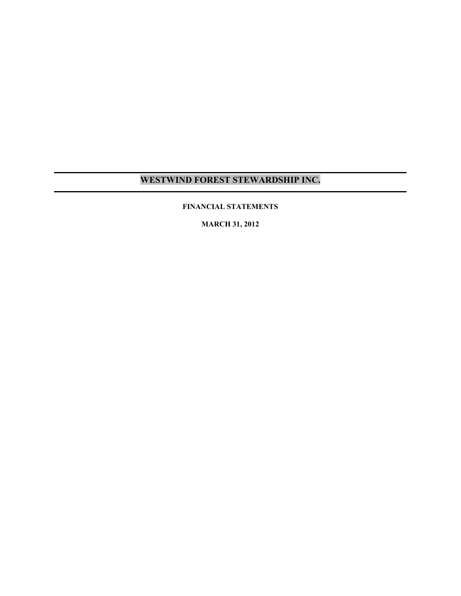### **FINANCIAL STATEMENTS**

**MARCH 31, 2012**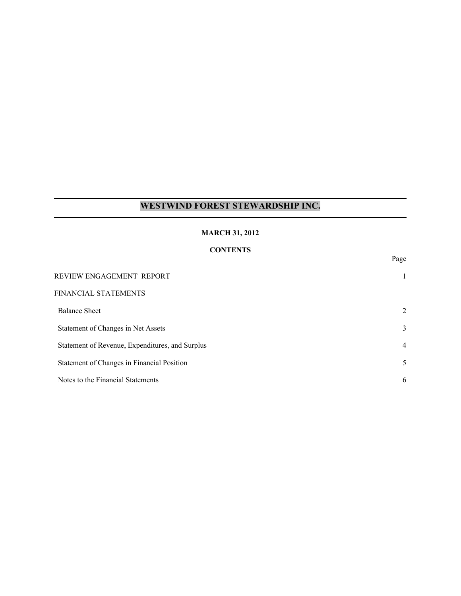### **MARCH 31, 2012**

## **CONTENTS**

Page

| REVIEW ENGAGEMENT REPORT                        | 1              |
|-------------------------------------------------|----------------|
| FINANCIAL STATEMENTS                            |                |
| <b>Balance Sheet</b>                            | $\overline{2}$ |
| Statement of Changes in Net Assets              | 3              |
| Statement of Revenue, Expenditures, and Surplus | $\overline{4}$ |
| Statement of Changes in Financial Position      | 5              |
| Notes to the Financial Statements               | 6              |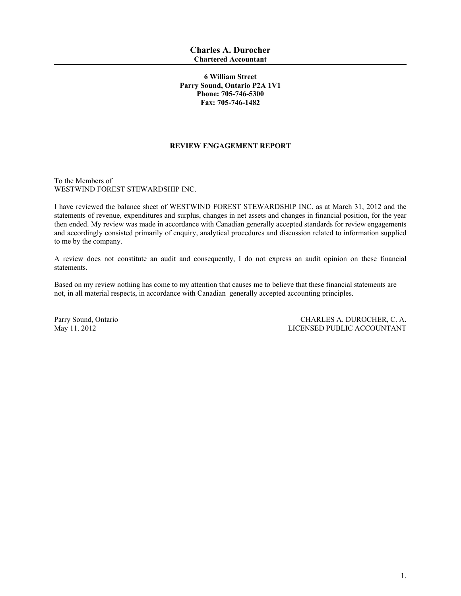### **6 William Street Parry Sound, Ontario P2A 1V1 Phone: 705-746-5300 Fax: 705-746-1482**

### **REVIEW ENGAGEMENT REPORT**

To the Members of WESTWIND FOREST STEWARDSHIP INC.

I have reviewed the balance sheet of WESTWIND FOREST STEWARDSHIP INC. as at March 31, 2012 and the statements of revenue, expenditures and surplus, changes in net assets and changes in financial position, for the year then ended. My review was made in accordance with Canadian generally accepted standards for review engagements and accordingly consisted primarily of enquiry, analytical procedures and discussion related to information supplied to me by the company.

A review does not constitute an audit and consequently, I do not express an audit opinion on these financial statements.

Based on my review nothing has come to my attention that causes me to believe that these financial statements are not, in all material respects, in accordance with Canadian generally accepted accounting principles.

Parry Sound, Ontario CHARLES A. DUROCHER, C. A. May 11. 2012 LICENSED PUBLIC ACCOUNTANT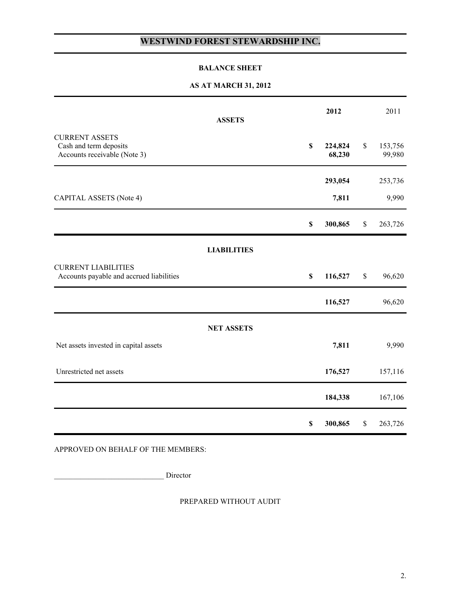### **BALANCE SHEET**

## **AS AT MARCH 31, 2012**

|                                                                                 | <b>ASSETS</b>      | 2012                    |              | 2011              |
|---------------------------------------------------------------------------------|--------------------|-------------------------|--------------|-------------------|
| <b>CURRENT ASSETS</b><br>Cash and term deposits<br>Accounts receivable (Note 3) |                    | \$<br>224,824<br>68,230 | \$           | 153,756<br>99,980 |
|                                                                                 |                    | 293,054                 |              | 253,736           |
| CAPITAL ASSETS (Note 4)                                                         |                    | 7,811                   |              | 9,990             |
|                                                                                 |                    | \$<br>300,865           | $\mathbb{S}$ | 263,726           |
|                                                                                 | <b>LIABILITIES</b> |                         |              |                   |
| <b>CURRENT LIABILITIES</b><br>Accounts payable and accrued liabilities          |                    | \$<br>116,527           | \$           | 96,620            |
|                                                                                 |                    | 116,527                 |              | 96,620            |
|                                                                                 | <b>NET ASSETS</b>  |                         |              |                   |
| Net assets invested in capital assets                                           |                    | 7,811                   |              | 9,990             |
| Unrestricted net assets                                                         |                    | 176,527                 |              | 157,116           |
|                                                                                 |                    | 184,338                 |              | 167,106           |
|                                                                                 |                    | \$<br>300,865           | $\$$         | 263,726           |

APPROVED ON BEHALF OF THE MEMBERS:

\_\_\_\_\_\_\_\_\_\_\_\_\_\_\_\_\_\_\_\_\_\_\_\_\_\_\_\_\_ Director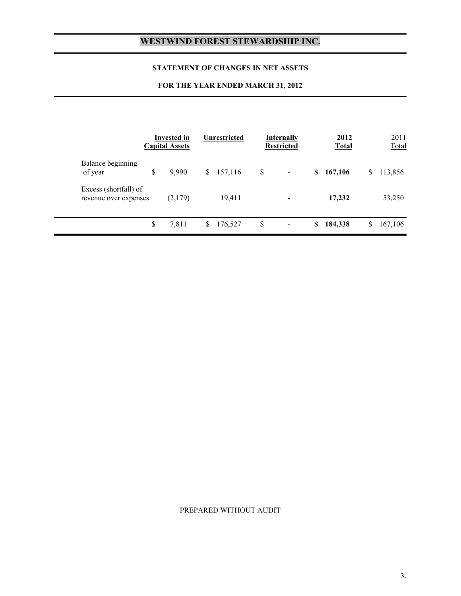### **STATEMENT OF CHANGES IN NET ASSETS**

## **FOR THE YEAR ENDED MARCH 31, 2012**

|                                                | Invested in<br><b>Capital Assets</b> | <b>Unrestricted</b> | <b>Internally</b><br><b>Restricted</b> |    | 2012<br><b>Total</b> |    | 2011<br>Total |
|------------------------------------------------|--------------------------------------|---------------------|----------------------------------------|----|----------------------|----|---------------|
| Balance beginning<br>of year                   | \$<br>9,990                          | \$<br>157,116       | \$<br>$\blacksquare$                   | S  | 167,106              | S. | 113,856       |
| Excess (shortfall) of<br>revenue over expenses | (2,179)                              | 19,411              |                                        |    | 17,232               |    | 53,250        |
|                                                | \$<br>7,811                          | \$<br>176,527       | \$                                     | \$ | 184,338              | S  | 167,106       |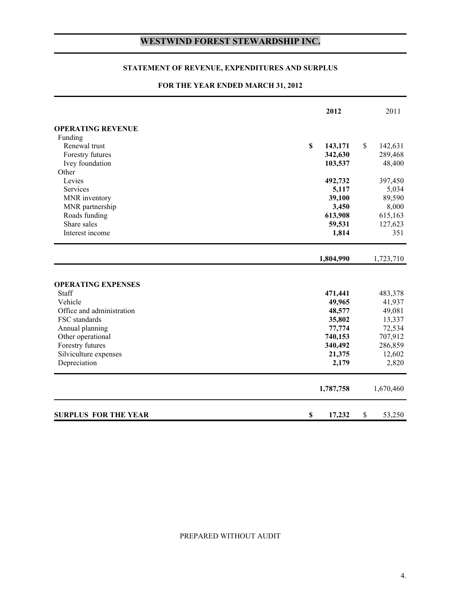### **STATEMENT OF REVENUE, EXPENDITURES AND SURPLUS**

### **FOR THE YEAR ENDED MARCH 31, 2012**

|                                                                            | 2012                        | 2011                        |
|----------------------------------------------------------------------------|-----------------------------|-----------------------------|
| <b>OPERATING REVENUE</b>                                                   |                             |                             |
| Funding                                                                    |                             |                             |
| Renewal trust                                                              | \$<br>143,171               | \$<br>142,631               |
| Forestry futures                                                           | 342,630                     | 289,468                     |
| Ivey foundation                                                            | 103,537                     | 48,400                      |
| Other                                                                      |                             |                             |
| Levies                                                                     | 492,732                     | 397,450                     |
| Services                                                                   | 5,117                       | 5,034                       |
| MNR inventory                                                              | 39,100                      | 89,590                      |
| MNR partnership                                                            | 3,450                       | 8,000                       |
| Roads funding                                                              | 613,908                     | 615,163                     |
| Share sales                                                                | 59,531                      | 127,623                     |
| Interest income                                                            | 1,814                       | 351                         |
|                                                                            | 1,804,990                   | 1,723,710                   |
| <b>OPERATING EXPENSES</b><br>Staff<br>Vehicle<br>Office and administration | 471,441<br>49,965<br>48,577 | 483,378<br>41,937<br>49,081 |
| FSC standards                                                              | 35,802                      | 13,337                      |
| Annual planning                                                            | 77,774                      | 72,534                      |
| Other operational                                                          | 740,153                     | 707,912                     |
| Forestry futures                                                           | 340,492                     | 286,859                     |
| Silviculture expenses                                                      | 21,375                      | 12,602                      |
| Depreciation                                                               | 2,179                       | 2,820                       |
|                                                                            | 1,787,758                   | 1,670,460                   |
| <b>SURPLUS FOR THE YEAR</b>                                                | \$<br>17,232                | \$<br>53,250                |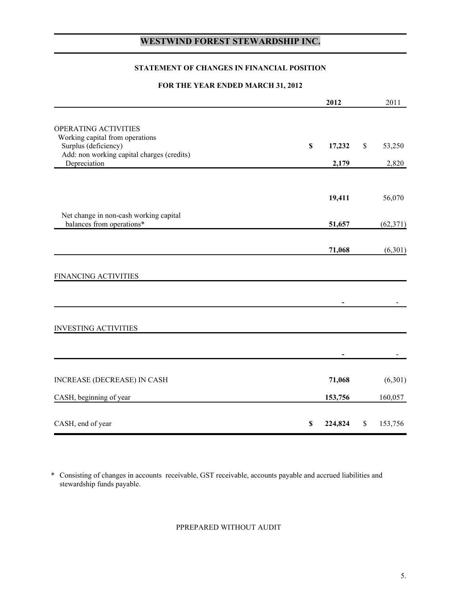### **STATEMENT OF CHANGES IN FINANCIAL POSITION**

### **FOR THE YEAR ENDED MARCH 31, 2012**

|                                                                     |              | 2012    |      | 2011      |
|---------------------------------------------------------------------|--------------|---------|------|-----------|
|                                                                     |              |         |      |           |
| OPERATING ACTIVITIES                                                |              |         |      |           |
| Working capital from operations<br>Surplus (deficiency)             | $\mathbb{S}$ | 17,232  | $\$$ | 53,250    |
| Add: non working capital charges (credits)                          |              |         |      |           |
| Depreciation                                                        |              | 2,179   |      | 2,820     |
|                                                                     |              |         |      |           |
|                                                                     |              | 19,411  |      | 56,070    |
|                                                                     |              |         |      |           |
| Net change in non-cash working capital<br>balances from operations* |              | 51,657  |      | (62, 371) |
|                                                                     |              |         |      |           |
|                                                                     |              | 71,068  |      | (6,301)   |
|                                                                     |              |         |      |           |
| FINANCING ACTIVITIES                                                |              |         |      |           |
|                                                                     |              |         |      |           |
|                                                                     |              |         |      |           |
|                                                                     |              |         |      |           |
| <b>INVESTING ACTIVITIES</b>                                         |              |         |      |           |
|                                                                     |              |         |      |           |
|                                                                     |              |         |      |           |
|                                                                     |              |         |      |           |
| INCREASE (DECREASE) IN CASH                                         |              | 71,068  |      | (6,301)   |
| CASH, beginning of year                                             |              | 153,756 |      | 160,057   |
|                                                                     |              |         |      |           |
| CASH, end of year                                                   | $\mathbb S$  | 224,824 | \$   | 153,756   |

\* Consisting of changes in accounts receivable, GST receivable, accounts payable and accrued liabilities and stewardship funds payable.